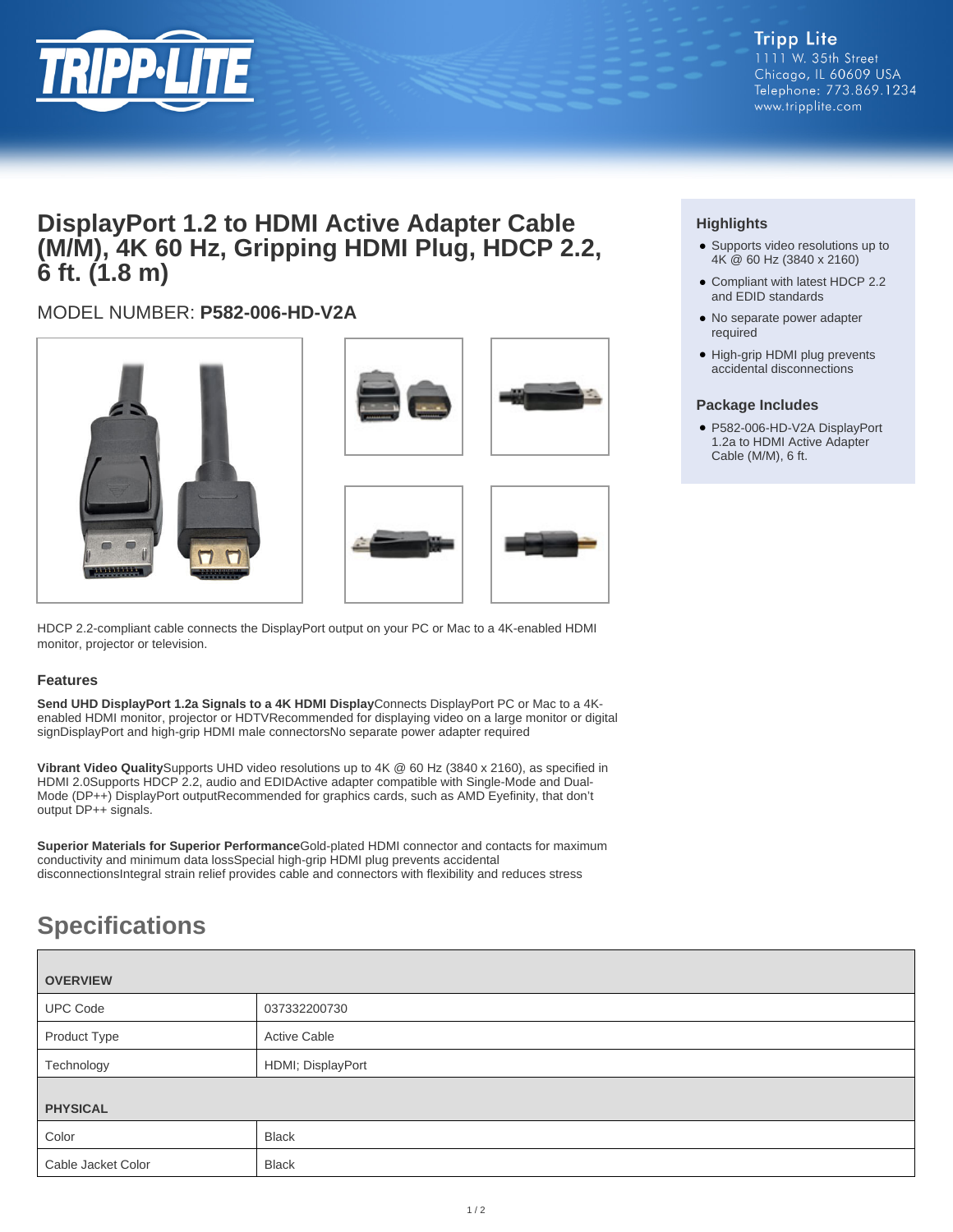

## **DisplayPort 1.2 to HDMI Active Adapter Cable (M/M), 4K 60 Hz, Gripping HDMI Plug, HDCP 2.2, 6 ft. (1.8 m)**

### MODEL NUMBER: **P582-006-HD-V2A**







HDCP 2.2-compliant cable connects the DisplayPort output on your PC or Mac to a 4K-enabled HDMI monitor, projector or television.

### **Features**

**Send UHD DisplayPort 1.2a Signals to a 4K HDMI Display**Connects DisplayPort PC or Mac to a 4Kenabled HDMI monitor, projector or HDTVRecommended for displaying video on a large monitor or digital signDisplayPort and high-grip HDMI male connectorsNo separate power adapter required

**Vibrant Video Quality**Supports UHD video resolutions up to 4K @ 60 Hz (3840 x 2160), as specified in HDMI 2.0Supports HDCP 2.2, audio and EDIDActive adapter compatible with Single-Mode and Dual-Mode (DP++) DisplayPort outputRecommended for graphics cards, such as AMD Eyefinity, that don't output DP++ signals.

**Superior Materials for Superior Performance**Gold-plated HDMI connector and contacts for maximum conductivity and minimum data lossSpecial high-grip HDMI plug prevents accidental disconnectionsIntegral strain relief provides cable and connectors with flexibility and reduces stress

# **Specifications**

| <b>OVERVIEW</b>    |                     |
|--------------------|---------------------|
| <b>UPC Code</b>    | 037332200730        |
| Product Type       | <b>Active Cable</b> |
| Technology         | HDMI; DisplayPort   |
| <b>PHYSICAL</b>    |                     |
| Color              | <b>Black</b>        |
| Cable Jacket Color | <b>Black</b>        |

### **Highlights**

- Supports video resolutions up to 4K @ 60 Hz (3840 x 2160)
- Compliant with latest HDCP 2.2 and EDID standards
- No separate power adapter required
- High-grip HDMI plug prevents accidental disconnections

#### **Package Includes**

● P582-006-HD-V2A DisplayPort 1.2a to HDMI Active Adapter Cable (M/M), 6 ft.